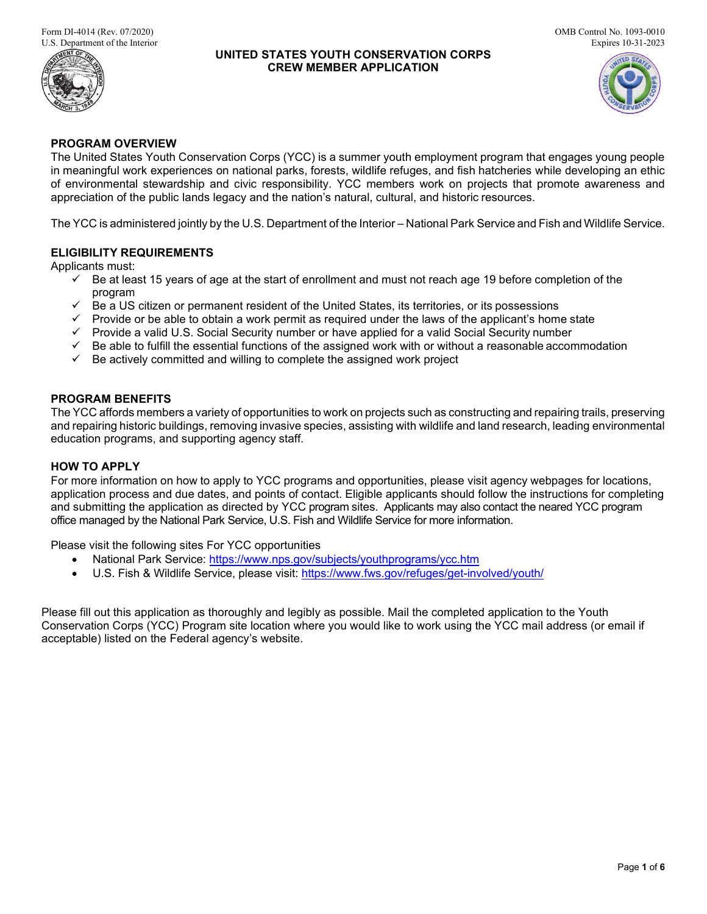

### **UNITED STATES YOUTH CONSERVATION CORPS CREW MEMBER APPLICATION**



## **PROGRAM OVERVIEW**

The United States Youth Conservation Corps (YCC) is a summer youth employment program that engages young people in meaningful work experiences on national parks, forests, wildlife refuges, and fish hatcheries while developing an ethic of environmental stewardship and civic responsibility. YCC members work on projects that promote awareness and appreciation of the public lands legacy and the nation's natural, cultural, and historic resources.

The YCC is administered jointly by the U.S. Department of the Interior – National Park Service and Fish and Wildlife Service.

### **ELIGIBILITY REQUIREMENTS**

Applicants must:

- $\checkmark$  Be at least 15 years of age at the start of enrollment and must not reach age 19 before completion of the program
- $\checkmark$  Be a US citizen or permanent resident of the United States, its territories, or its possessions
- $\checkmark$  Provide or be able to obtain a work permit as required under the laws of the applicant's home state
- $\checkmark$  Provide a valid U.S. Social Security number or have applied for a valid Social Security number
- $\checkmark$  Be able to fulfill the essential functions of the assigned work with or without a reasonable accommodation
- $\checkmark$  Be actively committed and willing to complete the assigned work project

### **PROGRAM BENEFITS**

The YCC affords members a variety of opportunities to work on projects such as constructing and repairing trails, preserving and repairing historic buildings, removing invasive species, assisting with wildlife and land research, leading environmental education programs, and supporting agency staff.

## **HOW TO APPLY**

For more information on how to apply to YCC programs and opportunities, please visit agency webpages for locations, application process and due dates, and points of contact. Eligible applicants should follow the instructions for completing and submitting the application as directed by YCC program sites. Applicants may also contact the neared YCC program office managed by the National Park Service, U.S. Fish and Wildlife Service for more information.

Please visit the following sites For YCC opportunities

- National Park Service: [https://www.nps.gov/subjects/youthprograms/ycc.htm](http://www.nps.gov/subjects/youthprograms/ycc.htm)
- U.S. Fish & Wildlife Service, please visit: [https://www.fws.gov/refuges/get-involved/youth/](https://gcc02.safelinks.protection.outlook.com/?url=https%3A%2F%2Fwww.fws.gov%2Frefuges%2Fget-involved%2Fyouth%2F&data=04%7C01%7CPhadrea_Ponds%40nps.gov%7C8efd00ba170747bbe97708d88803d2c1%7C0693b5ba4b184d7b9341f32f400a5494%7C0%7C0%7C637408897284460363%7CUnknown%7CTWFpbGZsb3d8eyJWIjoiMC4wLjAwMDAiLCJQIjoiV2luMzIiLCJBTiI6Ik1haWwiLCJXVCI6Mn0%3D%7C1000&sdata=0ic1F%2FatlDzEVoYRuAFQl07q5%2F9cqiTz%2FBX8lX%2BVRmc%3D&reserved=0)

Please fill out this application as thoroughly and legibly as possible. Mail the completed application to the Youth Conservation Corps (YCC) Program site location where you would like to work using the YCC mail address (or email if acceptable) listed on the Federal agency's website.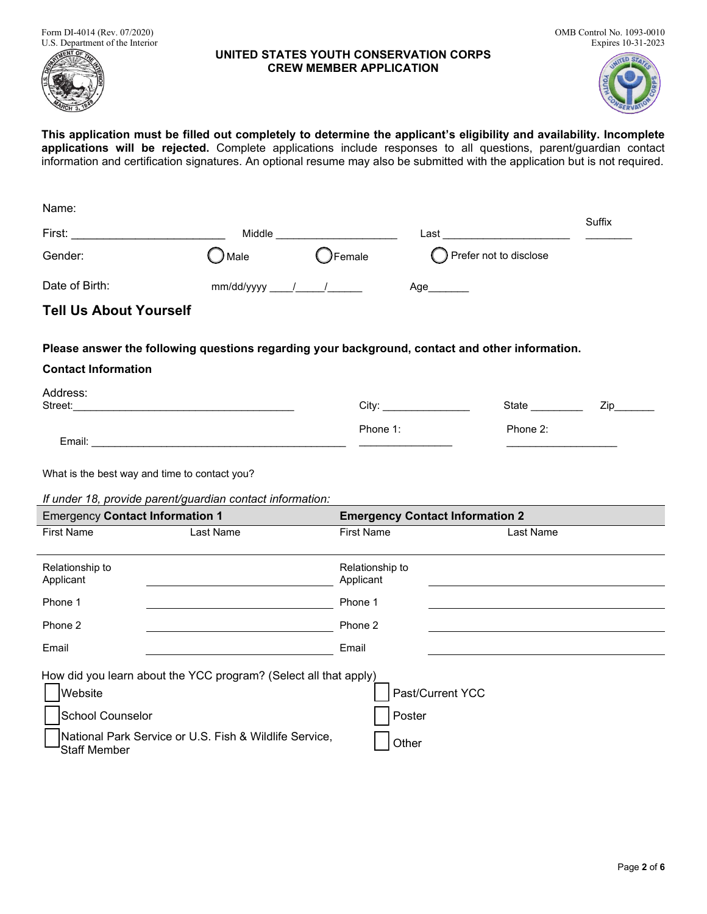Form DI-4014 (Rev. 07/2020) OMB Control No. 1093-0010<br>U.S. Department of the Interior Expires 10-31-2023 U.S. Department of the Interior



#### **UNITED STATES YOUTH CONSERVATION CORPS CREW MEMBER APPLICATION**



**This application must be filled out completely to determine the applicant's eligibility and availability. Incomplete applications will be rejected.** Complete applications include responses to all questions, parent/guardian contact information and certification signatures. An optional resume may also be submitted with the application but is not required.

| Name:                                                                                                                                                |                  |                              |                                                                                                                                                                                                                                |           |        |
|------------------------------------------------------------------------------------------------------------------------------------------------------|------------------|------------------------------|--------------------------------------------------------------------------------------------------------------------------------------------------------------------------------------------------------------------------------|-----------|--------|
| First:                                                                                                                                               | Middle           |                              | Last the contract of the contract of the contract of the contract of the contract of the contract of the contract of the contract of the contract of the contract of the contract of the contract of the contract of the contr |           | Suffix |
| Gender:                                                                                                                                              | ) Male           | ◯Female                      | () Prefer not to disclose                                                                                                                                                                                                      |           |        |
| Date of Birth:                                                                                                                                       | $mm/dd/yyyy$ / / |                              | Age______                                                                                                                                                                                                                      |           |        |
| <b>Tell Us About Yourself</b>                                                                                                                        |                  |                              |                                                                                                                                                                                                                                |           |        |
| Please answer the following questions regarding your background, contact and other information.                                                      |                  |                              |                                                                                                                                                                                                                                |           |        |
| <b>Contact Information</b>                                                                                                                           |                  |                              |                                                                                                                                                                                                                                |           |        |
| Address:                                                                                                                                             |                  |                              | City:                                                                                                                                                                                                                          | State     | Zip    |
|                                                                                                                                                      |                  | Phone 1:                     |                                                                                                                                                                                                                                | Phone 2:  |        |
| What is the best way and time to contact you?<br>If under 18, provide parent/guardian contact information:<br><b>Emergency Contact Information 1</b> |                  |                              | <b>Emergency Contact Information 2</b>                                                                                                                                                                                         |           |        |
| <b>First Name</b>                                                                                                                                    | Last Name        | <b>First Name</b>            |                                                                                                                                                                                                                                | Last Name |        |
| Relationship to<br>Applicant                                                                                                                         |                  | Relationship to<br>Applicant |                                                                                                                                                                                                                                |           |        |
| Phone 1                                                                                                                                              |                  |                              |                                                                                                                                                                                                                                |           |        |
|                                                                                                                                                      |                  | Phone 1                      |                                                                                                                                                                                                                                |           |        |
| Phone 2                                                                                                                                              |                  | Phone 2                      |                                                                                                                                                                                                                                |           |        |
| Email                                                                                                                                                |                  | Email                        |                                                                                                                                                                                                                                |           |        |
| How did you learn about the YCC program? (Select all that apply)<br>Website<br>School Counselor                                                      |                  | Poster                       | Past/Current YCC                                                                                                                                                                                                               |           |        |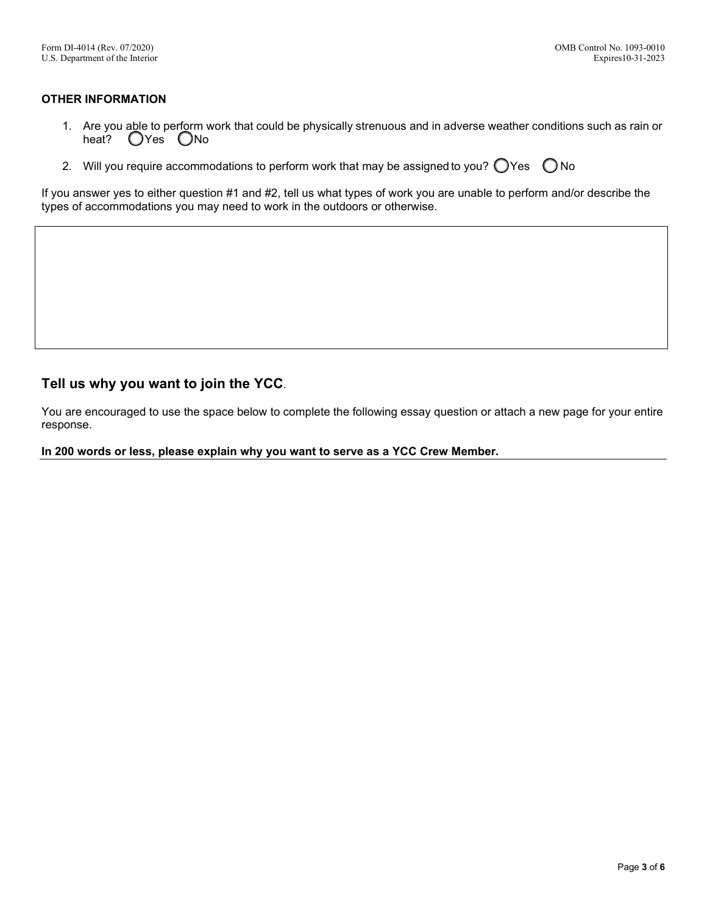### **OTHER INFORMATION**

- 1. Are you able to perform work that could be physically strenuous and in adverse weather conditions such as rain or heat? OYes ONo
- 2. Will you require accommodations to perform work that may be assigned to you?  $\bigcirc$  Yes  $\bigcirc$  No

If you answer yes to either question #1 and #2, tell us what types of work you are unable to perform and/or describe the types of accommodations you may need to work in the outdoors or otherwise.

# **Tell us why you want to join the YCC**.

You are encouraged to use the space below to complete the following essay question or attach a new page for your entire response.

**In 200 words or less, please explain why you want to serve as a YCC Crew Member.**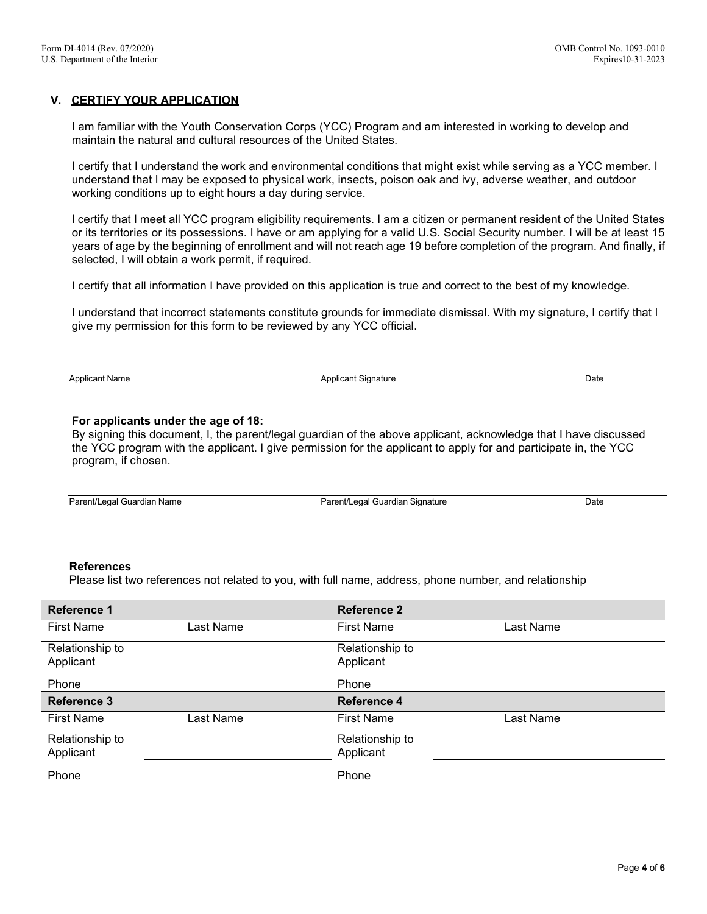### **V. CERTIFY YOUR APPLICATION**

I am familiar with the Youth Conservation Corps (YCC) Program and am interested in working to develop and maintain the natural and cultural resources of the United States.

I certify that I understand the work and environmental conditions that might exist while serving as a YCC member. I understand that I may be exposed to physical work, insects, poison oak and ivy, adverse weather, and outdoor working conditions up to eight hours a day during service.

I certify that I meet all YCC program eligibility requirements. I am a citizen or permanent resident of the United States or its territories or its possessions. I have or am applying for a valid U.S. Social Security number. I will be at least 15 years of age by the beginning of enrollment and will not reach age 19 before completion of the program. And finally, if selected, I will obtain a work permit, if required.

I certify that all information I have provided on this application is true and correct to the best of my knowledge.

I understand that incorrect statements constitute grounds for immediate dismissal. With my signature, I certify that I give my permission for this form to be reviewed by any YCC official.

Applicant Name **Applicant Signature** Applicant Signature Date **Date Date** 

#### **For applicants under the age of 18:**

By signing this document, I, the parent/legal guardian of the above applicant, acknowledge that I have discussed the YCC program with the applicant. I give permission for the applicant to apply for and participate in, the YCC program, if chosen.

Parent/Legal Guardian Name **Parent/Legal Guardian Signature** Parent/Legal Guardian Signature Date

#### **References**

Please list two references not related to you, with full name, address, phone number, and relationship

| <b>Reference 1</b>           |           | <b>Reference 2</b>           |           |
|------------------------------|-----------|------------------------------|-----------|
| <b>First Name</b>            | Last Name | <b>First Name</b>            | Last Name |
| Relationship to<br>Applicant |           | Relationship to<br>Applicant |           |
| Phone                        |           | Phone                        |           |
| <b>Reference 3</b>           |           | <b>Reference 4</b>           |           |
|                              |           |                              |           |
| <b>First Name</b>            | Last Name | <b>First Name</b>            | Last Name |
| Relationship to<br>Applicant |           | Relationship to<br>Applicant |           |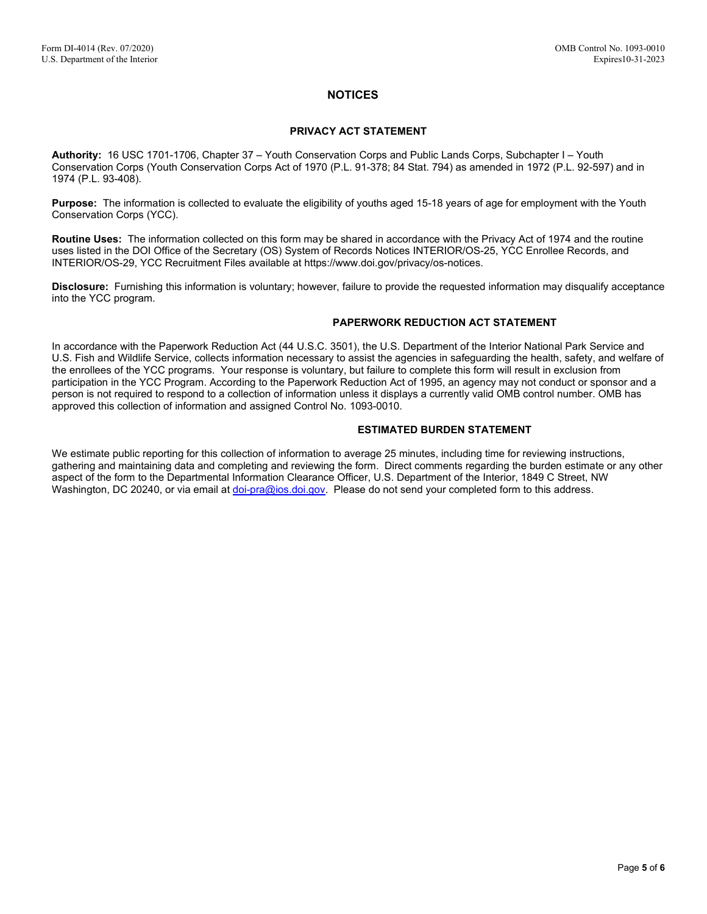### **NOTICES**

#### **PRIVACY ACT STATEMENT**

**Authority:** 16 USC 1701-1706, Chapter 37 – Youth Conservation Corps and Public Lands Corps, Subchapter I – Youth Conservation Corps (Youth Conservation Corps Act of 1970 (P.L. 91-378; 84 Stat. 794) as amended in 1972 (P.L. 92-597) and in 1974 (P.L. 93-408).

**Purpose:** The information is collected to evaluate the eligibility of youths aged 15-18 years of age for employment with the Youth Conservation Corps (YCC).

**Routine Uses:** The information collected on this form may be shared in accordance with the Privacy Act of 1974 and the routine uses listed in the DOI Office of the Secretary (OS) System of Records Notices INTERIOR/OS-25, YCC Enrollee Records, and INTERIOR/OS-29, YCC Recruitment Files available at [https://www.doi.gov/privacy/os-notices.](https://www.doi.gov/privacy/os-notices)

**Disclosure:** Furnishing this information is voluntary; however, failure to provide the requested information may disqualify acceptance into the YCC program.

#### **PAPERWORK REDUCTION ACT STATEMENT**

In accordance with the Paperwork Reduction Act (44 U.S.C. 3501), the U.S. Department of the Interior National Park Service and U.S. Fish and Wildlife Service, collects information necessary to assist the agencies in safeguarding the health, safety, and welfare of the enrollees of the YCC programs. Your response is voluntary, but failure to complete this form will result in exclusion from participation in the YCC Program. According to the Paperwork Reduction Act of 1995, an agency may not conduct or sponsor and a person is not required to respond to a collection of information unless it displays a currently valid OMB control number. OMB has approved this collection of information and assigned Control No. 1093-0010.

#### **ESTIMATED BURDEN STATEMENT**

We estimate public reporting for this collection of information to average 25 minutes, including time for reviewing instructions, gathering and maintaining data and completing and reviewing the form. Direct comments regarding the burden estimate or any other aspect of the form to the Departmental Information Clearance Officer, U.S. Department of the Interior, 1849 C Street, NW Washington, DC 20240, or via email a[t doi-pra@ios.doi.gov.](mailto:doi-pra@ios.doi.gov) Please do not send your completed form to this address.